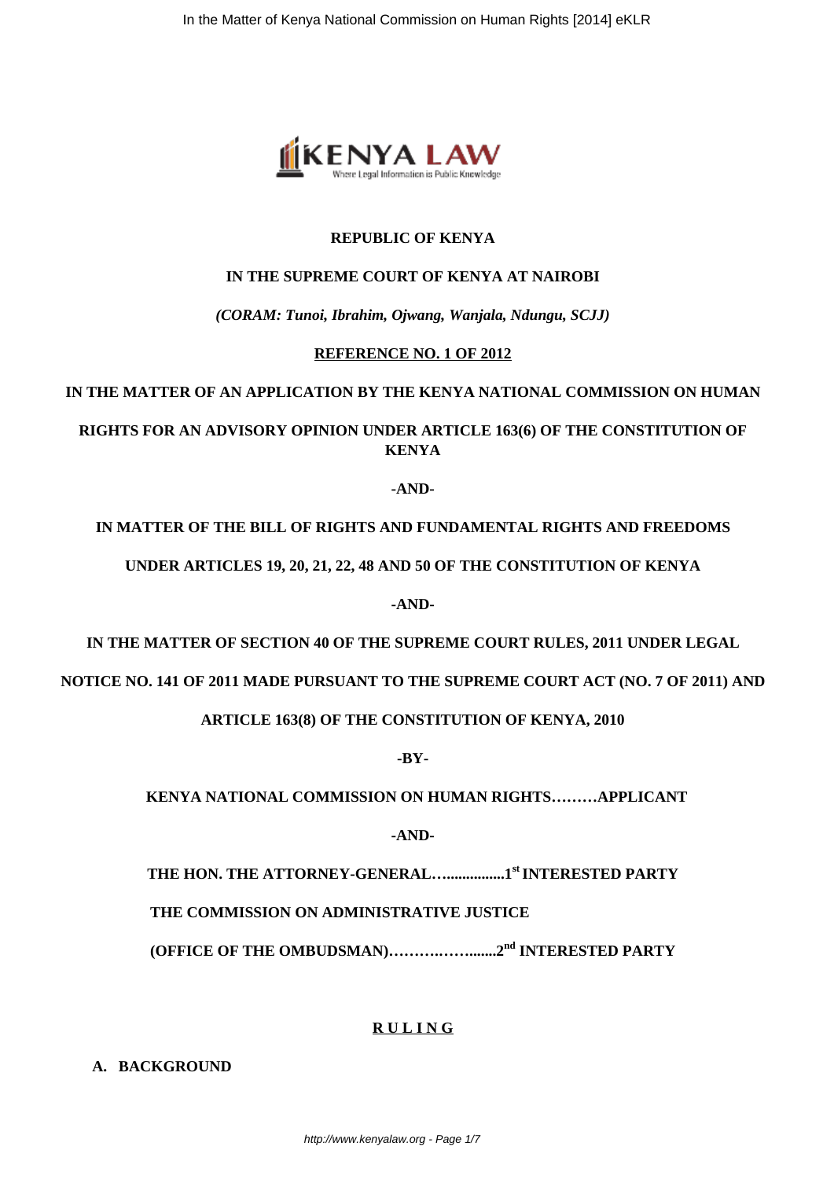

#### **REPUBLIC OF KENYA**

#### **IN THE SUPREME COURT OF KENYA AT NAIROBI**

*(CORAM: Tunoi, Ibrahim, Ojwang, Wanjala, Ndungu, SCJJ)*

#### **REFERENCE NO. 1 OF 2012**

## **IN THE MATTER OF AN APPLICATION BY THE KENYA NATIONAL COMMISSION ON HUMAN**

# **RIGHTS FOR AN ADVISORY OPINION UNDER ARTICLE 163(6) OF THE CONSTITUTION OF KENYA**

**-AND-**

## **IN MATTER OF THE BILL OF RIGHTS AND FUNDAMENTAL RIGHTS AND FREEDOMS**

**UNDER ARTICLES 19, 20, 21, 22, 48 AND 50 OF THE CONSTITUTION OF KENYA**

**-AND-**

**IN THE MATTER OF SECTION 40 OF THE SUPREME COURT RULES, 2011 UNDER LEGAL**

**NOTICE NO. 141 OF 2011 MADE PURSUANT TO THE SUPREME COURT ACT (NO. 7 OF 2011) AND**

**ARTICLE 163(8) OF THE CONSTITUTION OF KENYA, 2010**

**-BY-**

 **KENYA NATIONAL COMMISSION ON HUMAN RIGHTS………APPLICANT**

**-AND-**

**THE HON. THE ATTORNEY-GENERAL…...............1st INTERESTED PARTY**

 **THE COMMISSION ON ADMINISTRATIVE JUSTICE**

**(OFFICE OF THE OMBUDSMAN)……….…….......2nd INTERESTED PARTY**

### **R U L I N G**

**A. BACKGROUND**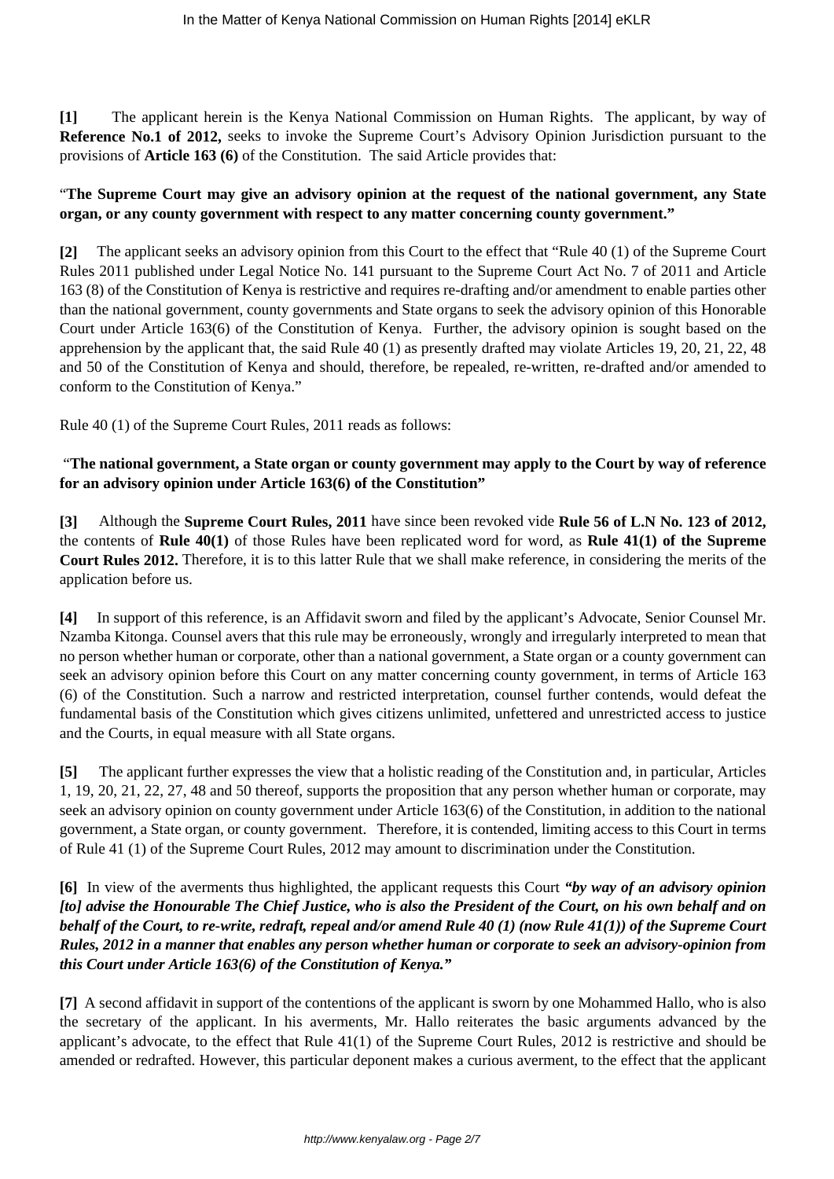**[1]** The applicant herein is the Kenya National Commission on Human Rights. The applicant, by way of **Reference No.1 of 2012,** seeks to invoke the Supreme Court's Advisory Opinion Jurisdiction pursuant to the provisions of **Article 163 (6)** of the Constitution. The said Article provides that:

### "**The Supreme Court may give an advisory opinion at the request of the national government, any State organ, or any county government with respect to any matter concerning county government."**

**[2]** The applicant seeks an advisory opinion from this Court to the effect that "Rule 40 (1) of the Supreme Court Rules 2011 published under Legal Notice No. 141 pursuant to the Supreme Court Act No. 7 of 2011 and Article 163 (8) of the Constitution of Kenya is restrictive and requires re-drafting and/or amendment to enable parties other than the national government, county governments and State organs to seek the advisory opinion of this Honorable Court under Article 163(6) of the Constitution of Kenya. Further, the advisory opinion is sought based on the apprehension by the applicant that, the said Rule 40 (1) as presently drafted may violate Articles 19, 20, 21, 22, 48 and 50 of the Constitution of Kenya and should, therefore, be repealed, re-written, re-drafted and/or amended to conform to the Constitution of Kenya."

Rule 40 (1) of the Supreme Court Rules, 2011 reads as follows:

### "**The national government, a State organ or county government may apply to the Court by way of reference for an advisory opinion under Article 163(6) of the Constitution"**

**[3]** Although the **Supreme Court Rules, 2011** have since been revoked vide **Rule 56 of L.N No. 123 of 2012,** the contents of **Rule 40(1)** of those Rules have been replicated word for word, as **Rule 41(1) of the Supreme Court Rules 2012.** Therefore, it is to this latter Rule that we shall make reference, in considering the merits of the application before us.

**[4]** In support of this reference, is an Affidavit sworn and filed by the applicant's Advocate, Senior Counsel Mr. Nzamba Kitonga. Counsel avers that this rule may be erroneously, wrongly and irregularly interpreted to mean that no person whether human or corporate, other than a national government, a State organ or a county government can seek an advisory opinion before this Court on any matter concerning county government, in terms of Article 163 (6) of the Constitution. Such a narrow and restricted interpretation, counsel further contends, would defeat the fundamental basis of the Constitution which gives citizens unlimited, unfettered and unrestricted access to justice and the Courts, in equal measure with all State organs.

**[5]** The applicant further expresses the view that a holistic reading of the Constitution and, in particular, Articles 1, 19, 20, 21, 22, 27, 48 and 50 thereof, supports the proposition that any person whether human or corporate, may seek an advisory opinion on county government under Article 163(6) of the Constitution, in addition to the national government, a State organ, or county government. Therefore, it is contended, limiting access to this Court in terms of Rule 41 (1) of the Supreme Court Rules, 2012 may amount to discrimination under the Constitution.

## **[6]** In view of the averments thus highlighted, the applicant requests this Court *"by way of an advisory opinion [to] advise the Honourable The Chief Justice, who is also the President of the Court, on his own behalf and on behalf of the Court, to re-write, redraft, repeal and/or amend Rule 40 (1) (now Rule 41(1)) of the Supreme Court Rules, 2012 in a manner that enables any person whether human or corporate to seek an advisory-opinion from this Court under Article 163(6) of the Constitution of Kenya."*

**[7]** A second affidavit in support of the contentions of the applicant is sworn by one Mohammed Hallo, who is also the secretary of the applicant. In his averments, Mr. Hallo reiterates the basic arguments advanced by the applicant's advocate, to the effect that Rule 41(1) of the Supreme Court Rules, 2012 is restrictive and should be amended or redrafted. However, this particular deponent makes a curious averment, to the effect that the applicant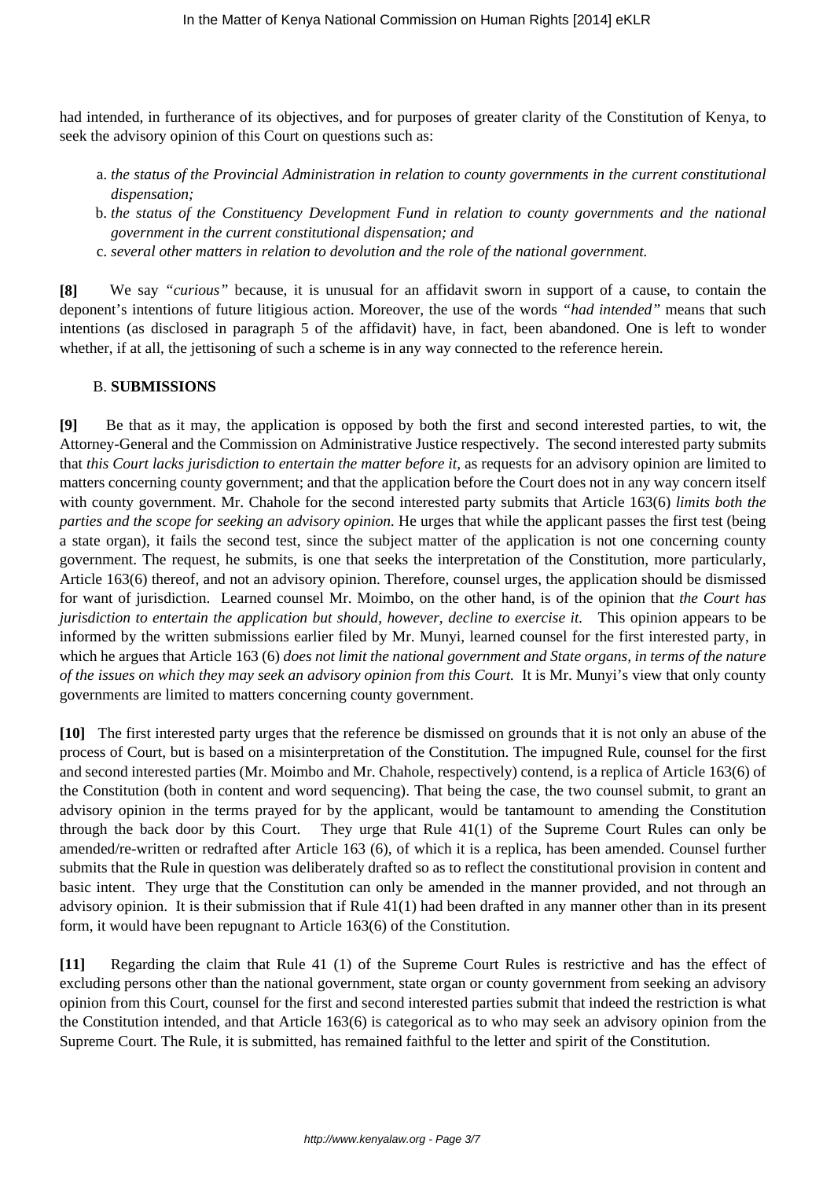had intended, in furtherance of its objectives, and for purposes of greater clarity of the Constitution of Kenya, to seek the advisory opinion of this Court on questions such as:

- a. *the status of the Provincial Administration in relation to county governments in the current constitutional dispensation;*
- b. *the status of the Constituency Development Fund in relation to county governments and the national government in the current constitutional dispensation; and*
- c. *several other matters in relation to devolution and the role of the national government.*

**[8]** We say *"curious"* because, it is unusual for an affidavit sworn in support of a cause, to contain the deponent's intentions of future litigious action. Moreover, the use of the words *"had intended"* means that such intentions (as disclosed in paragraph 5 of the affidavit) have, in fact, been abandoned. One is left to wonder whether, if at all, the jettisoning of such a scheme is in any way connected to the reference herein.

#### B. **SUBMISSIONS**

**[9]** Be that as it may, the application is opposed by both the first and second interested parties, to wit, the Attorney-General and the Commission on Administrative Justice respectively. The second interested party submits that *this Court lacks jurisdiction to entertain the matter before it,* as requests for an advisory opinion are limited to matters concerning county government; and that the application before the Court does not in any way concern itself with county government. Mr. Chahole for the second interested party submits that Article 163(6) *limits both the parties and the scope for seeking an advisory opinion.* He urges that while the applicant passes the first test (being a state organ), it fails the second test, since the subject matter of the application is not one concerning county government. The request, he submits, is one that seeks the interpretation of the Constitution, more particularly, Article 163(6) thereof, and not an advisory opinion. Therefore, counsel urges, the application should be dismissed for want of jurisdiction. Learned counsel Mr. Moimbo, on the other hand, is of the opinion that *the Court has jurisdiction to entertain the application but should, however, decline to exercise it.* This opinion appears to be informed by the written submissions earlier filed by Mr. Munyi, learned counsel for the first interested party, in which he argues that Article 163 (6) *does not limit the national government and State organs, in terms of the nature of the issues on which they may seek an advisory opinion from this Court.* It is Mr. Munyi's view that only county governments are limited to matters concerning county government.

**[10]** The first interested party urges that the reference be dismissed on grounds that it is not only an abuse of the process of Court, but is based on a misinterpretation of the Constitution. The impugned Rule, counsel for the first and second interested parties (Mr. Moimbo and Mr. Chahole, respectively) contend, is a replica of Article 163(6) of the Constitution (both in content and word sequencing). That being the case, the two counsel submit, to grant an advisory opinion in the terms prayed for by the applicant, would be tantamount to amending the Constitution through the back door by this Court. They urge that Rule 41(1) of the Supreme Court Rules can only be amended/re-written or redrafted after Article 163 (6), of which it is a replica, has been amended. Counsel further submits that the Rule in question was deliberately drafted so as to reflect the constitutional provision in content and basic intent. They urge that the Constitution can only be amended in the manner provided, and not through an advisory opinion. It is their submission that if Rule 41(1) had been drafted in any manner other than in its present form, it would have been repugnant to Article 163(6) of the Constitution.

**[11]** Regarding the claim that Rule 41 (1) of the Supreme Court Rules is restrictive and has the effect of excluding persons other than the national government, state organ or county government from seeking an advisory opinion from this Court, counsel for the first and second interested parties submit that indeed the restriction is what the Constitution intended, and that Article 163(6) is categorical as to who may seek an advisory opinion from the Supreme Court. The Rule, it is submitted, has remained faithful to the letter and spirit of the Constitution.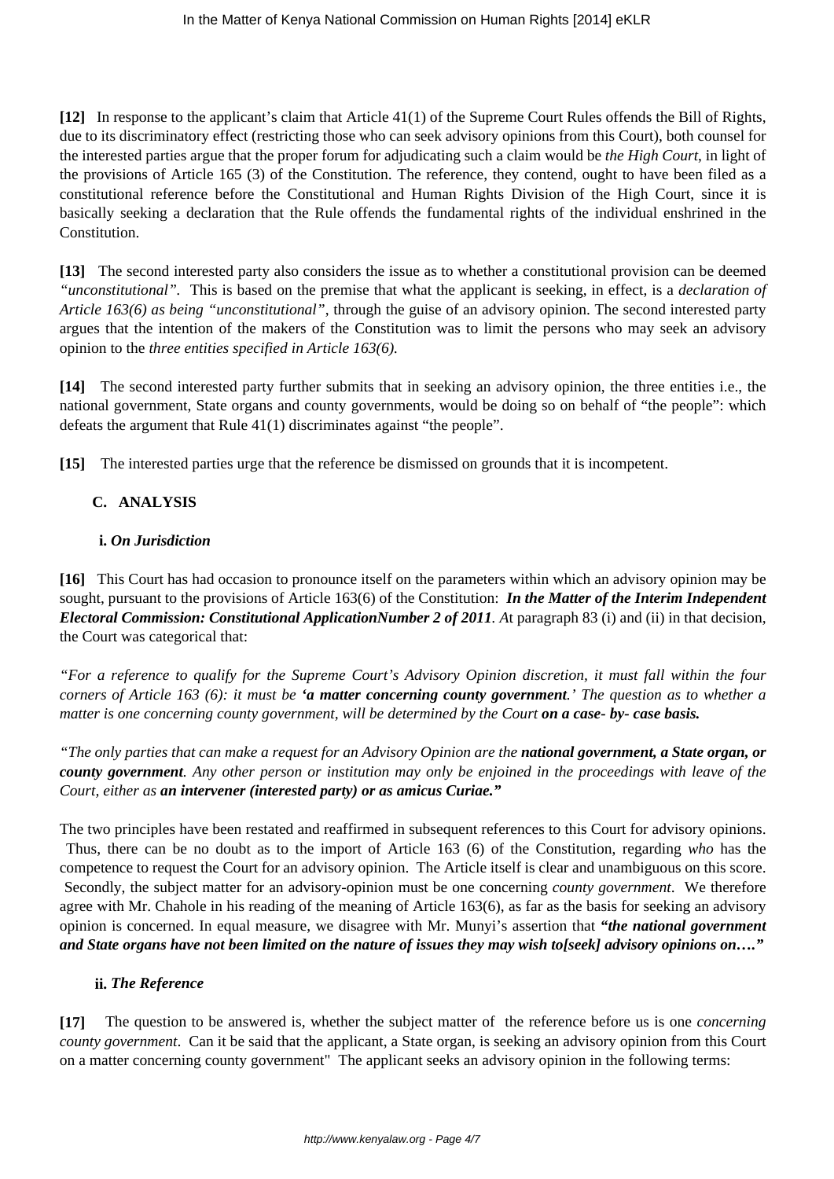**[12]** In response to the applicant's claim that Article 41(1) of the Supreme Court Rules offends the Bill of Rights, due to its discriminatory effect (restricting those who can seek advisory opinions from this Court), both counsel for the interested parties argue that the proper forum for adjudicating such a claim would be *the High Court*, in light of the provisions of Article 165 (3) of the Constitution. The reference, they contend, ought to have been filed as a constitutional reference before the Constitutional and Human Rights Division of the High Court, since it is basically seeking a declaration that the Rule offends the fundamental rights of the individual enshrined in the Constitution.

**[13]** The second interested party also considers the issue as to whether a constitutional provision can be deemed *"unconstitutional".* This is based on the premise that what the applicant is seeking, in effect, is a *declaration of Article 163(6) as being "unconstitutional"*, through the guise of an advisory opinion. The second interested party argues that the intention of the makers of the Constitution was to limit the persons who may seek an advisory opinion to the *three entities specified in Article 163(6).*

**[14]** The second interested party further submits that in seeking an advisory opinion, the three entities i.e., the national government, State organs and county governments, would be doing so on behalf of "the people": which defeats the argument that Rule 41(1) discriminates against "the people".

**[15]** The interested parties urge that the reference be dismissed on grounds that it is incompetent.

# **C. ANALYSIS**

### **i.** *On Jurisdiction*

**[16]** This Court has had occasion to pronounce itself on the parameters within which an advisory opinion may be sought, pursuant to the provisions of Article 163(6) of the Constitution: *In the Matter of the Interim Independent Electoral Commission: Constitutional ApplicationNumber 2 of 2011. A*t paragraph 83 (i) and (ii) in that decision, the Court was categorical that:

*"For a reference to qualify for the Supreme Court's Advisory Opinion discretion, it must fall within the four corners of Article 163 (6): it must be 'a matter concerning county government.' The question as to whether a matter is one concerning county government, will be determined by the Court on a case- by- case basis.* 

*"The only parties that can make a request for an Advisory Opinion are the national government, a State organ, or county government. Any other person or institution may only be enjoined in the proceedings with leave of the Court, either as an intervener (interested party) or as amicus Curiae."*

The two principles have been restated and reaffirmed in subsequent references to this Court for advisory opinions. Thus, there can be no doubt as to the import of Article 163 (6) of the Constitution, regarding *who* has the competence to request the Court for an advisory opinion. The Article itself is clear and unambiguous on this score. Secondly, the subject matter for an advisory-opinion must be one concerning *county government*. We therefore agree with Mr. Chahole in his reading of the meaning of Article 163(6), as far as the basis for seeking an advisory opinion is concerned. In equal measure, we disagree with Mr. Munyi's assertion that *"the national government and State organs have not been limited on the nature of issues they may wish to[seek] advisory opinions on…."*

### **ii.** *The Reference*

**[17]** The question to be answered is, whether the subject matter of the reference before us is one *concerning county government*. Can it be said that the applicant, a State organ, is seeking an advisory opinion from this Court on a matter concerning county government" The applicant seeks an advisory opinion in the following terms: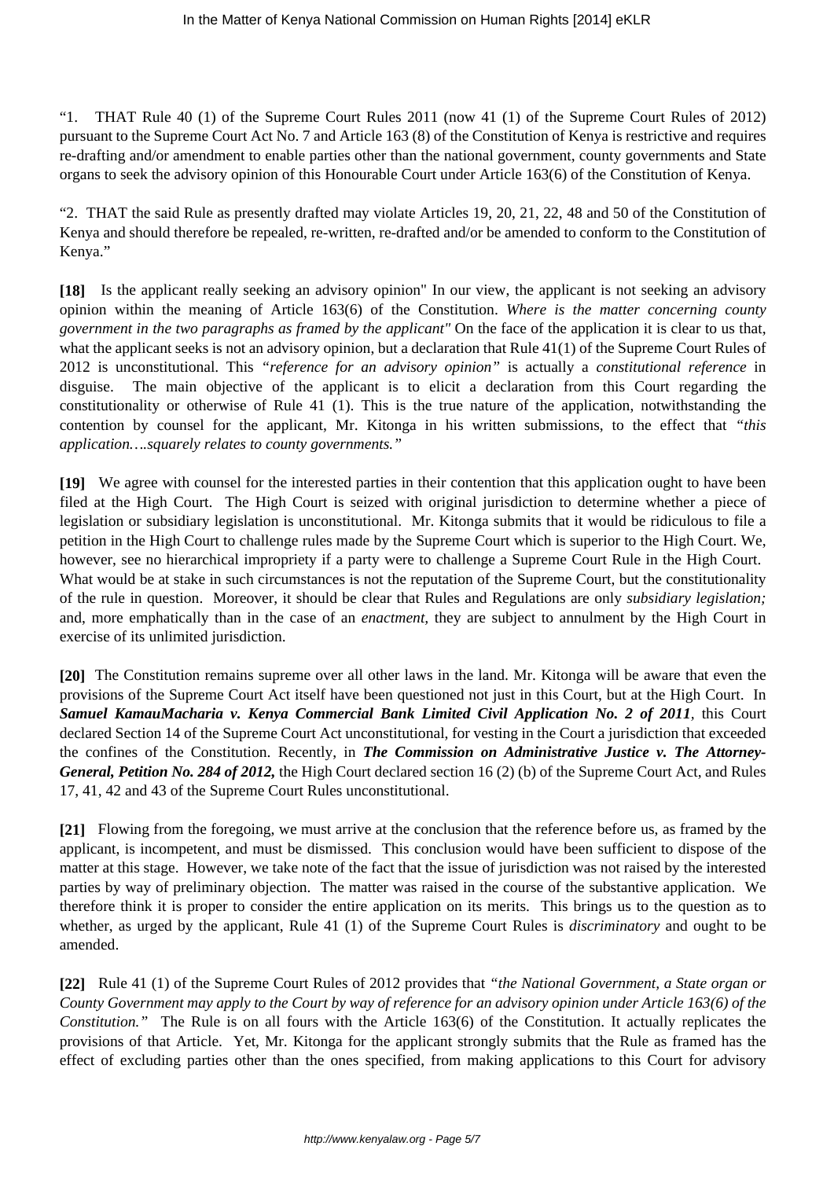"1. THAT Rule 40 (1) of the Supreme Court Rules 2011 (now 41 (1) of the Supreme Court Rules of 2012) pursuant to the Supreme Court Act No. 7 and Article 163 (8) of the Constitution of Kenya is restrictive and requires re-drafting and/or amendment to enable parties other than the national government, county governments and State organs to seek the advisory opinion of this Honourable Court under Article 163(6) of the Constitution of Kenya.

"2. THAT the said Rule as presently drafted may violate Articles 19, 20, 21, 22, 48 and 50 of the Constitution of Kenya and should therefore be repealed, re-written, re-drafted and/or be amended to conform to the Constitution of Kenya."

**[18]** Is the applicant really seeking an advisory opinion" In our view, the applicant is not seeking an advisory opinion within the meaning of Article 163(6) of the Constitution. *Where is the matter concerning county government in the two paragraphs as framed by the applicant"* On the face of the application it is clear to us that, what the applicant seeks is not an advisory opinion, but a declaration that Rule 41(1) of the Supreme Court Rules of 2012 is unconstitutional. This *"reference for an advisory opinion"* is actually a *constitutional reference* in disguise. The main objective of the applicant is to elicit a declaration from this Court regarding the constitutionality or otherwise of Rule 41 (1). This is the true nature of the application, notwithstanding the contention by counsel for the applicant, Mr. Kitonga in his written submissions, to the effect that *"this application….squarely relates to county governments."*

**[19]** We agree with counsel for the interested parties in their contention that this application ought to have been filed at the High Court. The High Court is seized with original jurisdiction to determine whether a piece of legislation or subsidiary legislation is unconstitutional. Mr. Kitonga submits that it would be ridiculous to file a petition in the High Court to challenge rules made by the Supreme Court which is superior to the High Court. We, however, see no hierarchical impropriety if a party were to challenge a Supreme Court Rule in the High Court. What would be at stake in such circumstances is not the reputation of the Supreme Court, but the constitutionality of the rule in question. Moreover, it should be clear that Rules and Regulations are only *subsidiary legislation;* and, more emphatically than in the case of an *enactment,* they are subject to annulment by the High Court in exercise of its unlimited jurisdiction.

**[20]** The Constitution remains supreme over all other laws in the land. Mr. Kitonga will be aware that even the provisions of the Supreme Court Act itself have been questioned not just in this Court, but at the High Court. In *Samuel KamauMacharia v. Kenya Commercial Bank Limited Civil Application No. 2 of 2011,* this Court declared Section 14 of the Supreme Court Act unconstitutional, for vesting in the Court a jurisdiction that exceeded the confines of the Constitution. Recently, in *The Commission on Administrative Justice v. The Attorney-General, Petition No. 284 of 2012,* the High Court declared section 16 (2) (b) of the Supreme Court Act, and Rules 17, 41, 42 and 43 of the Supreme Court Rules unconstitutional.

**[21]** Flowing from the foregoing, we must arrive at the conclusion that the reference before us, as framed by the applicant, is incompetent, and must be dismissed. This conclusion would have been sufficient to dispose of the matter at this stage. However, we take note of the fact that the issue of jurisdiction was not raised by the interested parties by way of preliminary objection. The matter was raised in the course of the substantive application. We therefore think it is proper to consider the entire application on its merits. This brings us to the question as to whether, as urged by the applicant, Rule 41 (1) of the Supreme Court Rules is *discriminatory* and ought to be amended.

**[22]** Rule 41 (1) of the Supreme Court Rules of 2012 provides that *"the National Government, a State organ or County Government may apply to the Court by way of reference for an advisory opinion under Article 163(6) of the Constitution."* The Rule is on all fours with the Article 163(6) of the Constitution. It actually replicates the provisions of that Article. Yet, Mr. Kitonga for the applicant strongly submits that the Rule as framed has the effect of excluding parties other than the ones specified, from making applications to this Court for advisory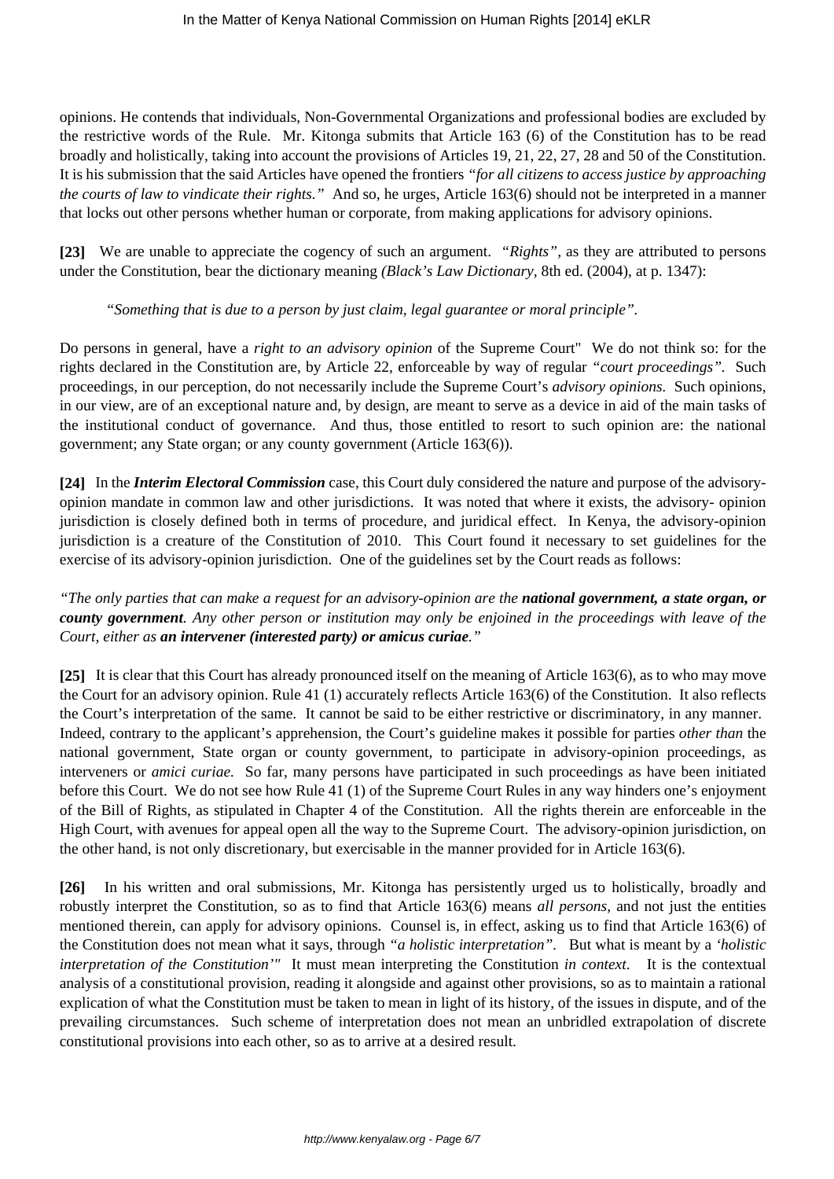opinions. He contends that individuals, Non-Governmental Organizations and professional bodies are excluded by the restrictive words of the Rule. Mr. Kitonga submits that Article 163 (6) of the Constitution has to be read broadly and holistically, taking into account the provisions of Articles 19, 21, 22, 27, 28 and 50 of the Constitution. It is his submission that the said Articles have opened the frontiers *"for all citizens to access justice by approaching the courts of law to vindicate their rights."* And so, he urges, Article 163(6) should not be interpreted in a manner that locks out other persons whether human or corporate, from making applications for advisory opinions.

**[23]** We are unable to appreciate the cogency of such an argument. *"Rights",* as they are attributed to persons under the Constitution, bear the dictionary meaning *(Black's Law Dictionary,* 8th ed. (2004), at p. 1347):

#### *"Something that is due to a person by just claim, legal guarantee or moral principle".*

Do persons in general, have a *right to an advisory opinion* of the Supreme Court" We do not think so: for the rights declared in the Constitution are, by Article 22, enforceable by way of regular *"court proceedings".* Such proceedings, in our perception, do not necessarily include the Supreme Court's *advisory opinions.* Such opinions, in our view, are of an exceptional nature and, by design, are meant to serve as a device in aid of the main tasks of the institutional conduct of governance. And thus, those entitled to resort to such opinion are: the national government; any State organ; or any county government (Article 163(6)).

**[24]** In the *Interim Electoral Commission* case, this Court duly considered the nature and purpose of the advisoryopinion mandate in common law and other jurisdictions. It was noted that where it exists, the advisory- opinion jurisdiction is closely defined both in terms of procedure, and juridical effect. In Kenya, the advisory-opinion jurisdiction is a creature of the Constitution of 2010. This Court found it necessary to set guidelines for the exercise of its advisory-opinion jurisdiction. One of the guidelines set by the Court reads as follows:

## *"The only parties that can make a request for an advisory-opinion are the national government, a state organ, or county government. Any other person or institution may only be enjoined in the proceedings with leave of the Court, either as an intervener (interested party) or amicus curiae."*

**[25]** It is clear that this Court has already pronounced itself on the meaning of Article 163(6), as to who may move the Court for an advisory opinion. Rule 41 (1) accurately reflects Article 163(6) of the Constitution. It also reflects the Court's interpretation of the same. It cannot be said to be either restrictive or discriminatory, in any manner. Indeed, contrary to the applicant's apprehension, the Court's guideline makes it possible for parties *other than* the national government, State organ or county government, to participate in advisory-opinion proceedings, as interveners or *amici curiae.* So far, many persons have participated in such proceedings as have been initiated before this Court. We do not see how Rule 41 (1) of the Supreme Court Rules in any way hinders one's enjoyment of the Bill of Rights, as stipulated in Chapter 4 of the Constitution. All the rights therein are enforceable in the High Court, with avenues for appeal open all the way to the Supreme Court. The advisory-opinion jurisdiction, on the other hand, is not only discretionary, but exercisable in the manner provided for in Article 163(6).

**[26]** In his written and oral submissions, Mr. Kitonga has persistently urged us to holistically, broadly and robustly interpret the Constitution, so as to find that Article 163(6) means *all persons*, and not just the entities mentioned therein, can apply for advisory opinions. Counsel is, in effect, asking us to find that Article 163(6) of the Constitution does not mean what it says, through *"a holistic interpretation".* But what is meant by a *'holistic interpretation of the Constitution'"* It must mean interpreting the Constitution *in context*. It is the contextual analysis of a constitutional provision, reading it alongside and against other provisions, so as to maintain a rational explication of what the Constitution must be taken to mean in light of its history, of the issues in dispute, and of the prevailing circumstances. Such scheme of interpretation does not mean an unbridled extrapolation of discrete constitutional provisions into each other, so as to arrive at a desired result.